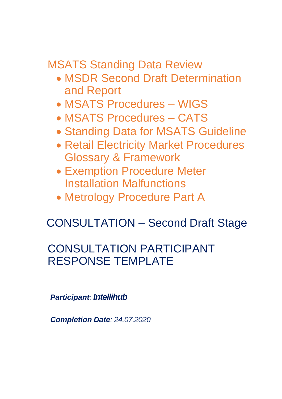MSATS Standing Data Review

- MSDR Second Draft Determination and Report
- MSATS Procedures WIGS
- MSATS Procedures CATS
- Standing Data for MSATS Guideline
- Retail Electricity Market Procedures Glossary & Framework
- Exemption Procedure Meter Installation Malfunctions
- Metrology Procedure Part A

# CONSULTATION – Second Draft Stage

## CONSULTATION PARTICIPANT RESPONSE TEMPLATE

*Participant: Intellihub*

*Completion Date: 24.07.2020*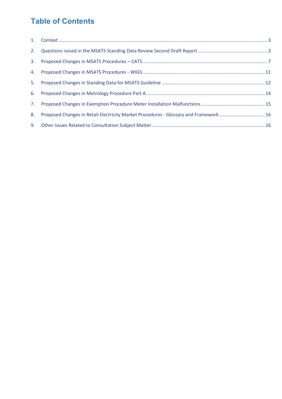### **Table of Contents**

| 8. | Proposed Changes in Retail Electricity Market Procedures - Glossary and Framework 16 |  |
|----|--------------------------------------------------------------------------------------|--|
|    |                                                                                      |  |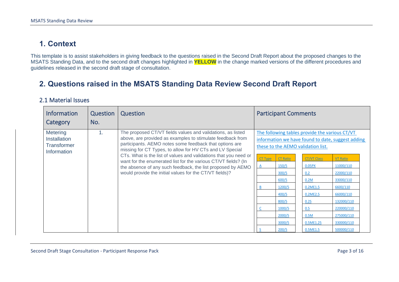### **1. Context**

This template is to assist stakeholders in giving feedback to the questions raised in the Second Draft Report about the proposed changes to the MSATS Standing Data, and to the second draft changes highlighted in **YELLOW** in the change marked versions of the different procedures and guidelines released in the second draft stage of consultation.

#### **2. Questions raised in the MSATS Standing Data Review Second Draft Report**

#### 2.1 Material Issues

<span id="page-2-1"></span><span id="page-2-0"></span>

| <b>Information</b><br>Category                                       | Question<br>No. | Question                                                                                                                                                                                                                                                                                                                                                                                                                                                                                                         | <b>Participant Comments</b>                                                                                                                                                                                                                                                                                                                                                                                                                                                                                                    |
|----------------------------------------------------------------------|-----------------|------------------------------------------------------------------------------------------------------------------------------------------------------------------------------------------------------------------------------------------------------------------------------------------------------------------------------------------------------------------------------------------------------------------------------------------------------------------------------------------------------------------|--------------------------------------------------------------------------------------------------------------------------------------------------------------------------------------------------------------------------------------------------------------------------------------------------------------------------------------------------------------------------------------------------------------------------------------------------------------------------------------------------------------------------------|
| <b>Metering</b><br>Installation<br><b>Transformer</b><br>Information |                 | The proposed CT/VT fields values and validations, as listed<br>above, are provided as examples to stimulate feedback from<br>participants. AEMO notes some feedback that options are<br>missing for CT Types, to allow for HV CTs and LV Special<br>CTs. What is the list of values and validations that you need or<br>want for the enumerated list for the various CT/VT fields? (In<br>the absence of any such feedback, the list proposed by AEMO<br>would provide the initial values for the CT/VT fields)? | The following tables provide the various CT/VT<br>information we have found to date, suggest adding<br>these to the AEMO validation list.<br>CT Type<br><b>CT Ratio</b><br><b>CT/VT Class</b><br><b>VT Ratio</b><br>150/5<br>0.05PX<br>11000/110<br>$\Delta$<br>22000/110<br>300/5<br>0.2<br>600/5<br>0.2M<br>33000/110<br>1200/5<br>6600/110<br>0.2ME1.5<br>66000/110<br>400/5<br>0.2ME2.5<br>800/5<br>132000/110<br>0.2S<br>1000/5<br>0.5<br>220000/110<br>2000/5<br>0.5M<br>275000/110<br>3000/5<br>330000/110<br>0.5ME1.25 |
|                                                                      |                 |                                                                                                                                                                                                                                                                                                                                                                                                                                                                                                                  | 200/5<br>500000/110<br>0.5ME1.5                                                                                                                                                                                                                                                                                                                                                                                                                                                                                                |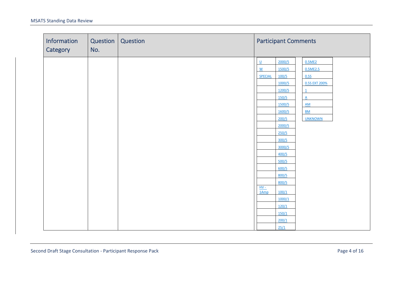| Information<br>Category | Question<br>No. | Question |                                                                                          | <b>Participant Comments</b>                                                                                                                                                                                                  |                                                                                                                                                     |  |  |
|-------------------------|-----------------|----------|------------------------------------------------------------------------------------------|------------------------------------------------------------------------------------------------------------------------------------------------------------------------------------------------------------------------------|-----------------------------------------------------------------------------------------------------------------------------------------------------|--|--|
|                         |                 |          | $\underline{\mathsf{U}}$<br>$\underline{\mathsf{W}}$<br><b>SPECIAL</b><br>$HV -$<br>1Amp | 2000/5<br>1500/5<br>100/5<br>1000/5<br>1200/5<br>150/5<br>1500/5<br>1600/5<br>200/5<br>2000/5<br>250/5<br>300/5<br>3000/5<br>400/5<br>500/5<br>600/5<br>800/5<br>800/5<br>100/1<br>1000/1<br>120/1<br>150/1<br>200/1<br>25/1 | 0.5ME2<br>0.5ME2.5<br>0.5S<br>0.5S EXT 200%<br>$\overline{1}$<br>$\underline{A}$<br>$\underline{\mathsf{AM}}$<br>$\underline{BM}$<br><b>UNKNOWN</b> |  |  |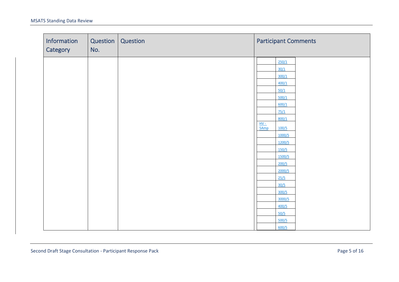| Information<br>Category | Question  <br>No. | Question | <b>Participant Comments</b>             |
|-------------------------|-------------------|----------|-----------------------------------------|
|                         |                   |          | 250/1<br>30/1                           |
|                         |                   |          | 300/1<br>400/1<br>50/1                  |
|                         |                   |          | 500/1<br>600/1<br>75/1                  |
|                         |                   |          | 800/1<br>$\frac{HV - F}{5Amp}$<br>100/5 |
|                         |                   |          | 1000/5<br>1200/5<br>150/5               |
|                         |                   |          | 1500/5<br>200/5                         |
|                         |                   |          | 2000/5<br>25/5<br>30/5                  |
|                         |                   |          | 300/5<br>3000/5<br>400/5                |
|                         |                   |          | 50/5<br>500/5<br>600/5                  |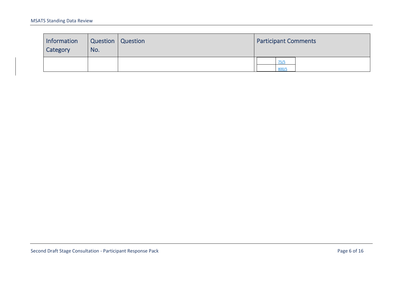| Information<br>Category | Question Question<br>No. | <b>Participant Comments</b> |  |  |  |
|-------------------------|--------------------------|-----------------------------|--|--|--|
|                         |                          | 75/5<br>800/5               |  |  |  |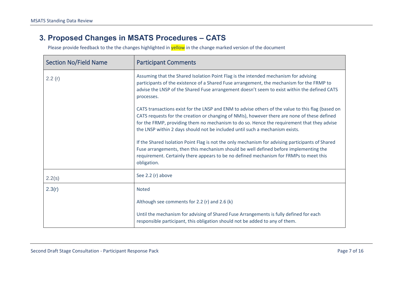#### **3. Proposed Changes in MSATS Procedures – CATS**

<span id="page-6-0"></span>

| <b>Section No/Field Name</b> | <b>Participant Comments</b>                                                                                                                                                                                                                                                                                                                                                     |
|------------------------------|---------------------------------------------------------------------------------------------------------------------------------------------------------------------------------------------------------------------------------------------------------------------------------------------------------------------------------------------------------------------------------|
| 2.2(r)                       | Assuming that the Shared Isolation Point Flag is the intended mechanism for advising<br>participants of the existence of a Shared Fuse arrangement, the mechanism for the FRMP to<br>advise the LNSP of the Shared Fuse arrangement doesn't seem to exist within the defined CATS<br>processes.                                                                                 |
|                              | CATS transactions exist for the LNSP and ENM to advise others of the value to this flag (based on<br>CATS requests for the creation or changing of NMIs), however there are none of these defined<br>for the FRMP, providing them no mechanism to do so. Hence the requirement that they advise<br>the LNSP within 2 days should not be included until such a mechanism exists. |
|                              | If the Shared Isolation Point Flag is not the only mechanism for advising participants of Shared<br>Fuse arrangements, then this mechanism should be well defined before implementing the<br>requirement. Certainly there appears to be no defined mechanism for FRMPs to meet this<br>obligation.                                                                              |
| 2.2(s)                       | See 2.2 (r) above                                                                                                                                                                                                                                                                                                                                                               |
| 2.3(r)                       | <b>Noted</b>                                                                                                                                                                                                                                                                                                                                                                    |
|                              | Although see comments for 2.2 (r) and 2.6 (k)                                                                                                                                                                                                                                                                                                                                   |
|                              | Until the mechanism for advising of Shared Fuse Arrangements is fully defined for each<br>responsible participant, this obligation should not be added to any of them.                                                                                                                                                                                                          |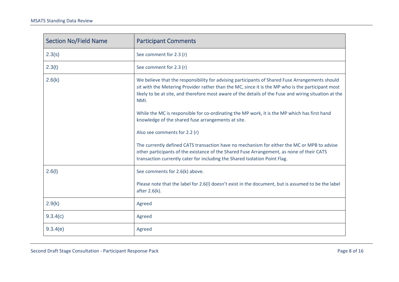| <b>Section No/Field Name</b> | <b>Participant Comments</b>                                                                                                                                                                                                                                                                                           |
|------------------------------|-----------------------------------------------------------------------------------------------------------------------------------------------------------------------------------------------------------------------------------------------------------------------------------------------------------------------|
| 2.3(s)                       | See comment for 2.3 (r)                                                                                                                                                                                                                                                                                               |
| 2.3(t)                       | See comment for 2.3 (r)                                                                                                                                                                                                                                                                                               |
| 2.6(k)                       | We believe that the responsibility for advising participants of Shared Fuse Arrangements should<br>sit with the Metering Provider rather than the MC, since it is the MP who is the participant most<br>likely to be at site, and therefore most aware of the details of the Fuse and wiring situation at the<br>NMI. |
|                              | While the MC is responsible for co-ordinating the MP work, it is the MP which has first hand<br>knowledge of the shared fuse arrangements at site.                                                                                                                                                                    |
|                              | Also see comments for 2.2 (r)                                                                                                                                                                                                                                                                                         |
|                              | The currently defined CATS transaction have no mechanism for either the MC or MPB to advise<br>other participants of the existance of the Shared Fuse Arrangement, as none of their CATS<br>transaction currently cater for including the Shared Isolation Point Flag.                                                |
| 2.6(l)                       | See comments for 2.6(k) above.                                                                                                                                                                                                                                                                                        |
|                              | Please note that the label for 2.6(I) doesn't exist in the document, but is assumed to be the label<br>after 2.6(k).                                                                                                                                                                                                  |
| 2.9(k)                       | Agreed                                                                                                                                                                                                                                                                                                                |
| 9.3.4(c)                     | Agreed                                                                                                                                                                                                                                                                                                                |
| 9.3.4(e)                     | Agreed                                                                                                                                                                                                                                                                                                                |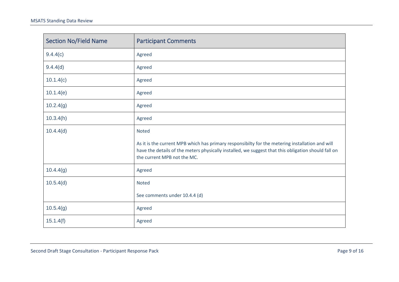| <b>Section No/Field Name</b> | <b>Participant Comments</b>                                                                                                                                                                                                           |
|------------------------------|---------------------------------------------------------------------------------------------------------------------------------------------------------------------------------------------------------------------------------------|
| 9.4.4(c)                     | Agreed                                                                                                                                                                                                                                |
| 9.4.4(d)                     | Agreed                                                                                                                                                                                                                                |
| 10.1.4(c)                    | Agreed                                                                                                                                                                                                                                |
| 10.1.4(e)                    | Agreed                                                                                                                                                                                                                                |
| 10.2.4(g)                    | Agreed                                                                                                                                                                                                                                |
| 10.3.4(h)                    | Agreed                                                                                                                                                                                                                                |
| 10.4.4(d)                    | <b>Noted</b>                                                                                                                                                                                                                          |
|                              | As it is the current MPB which has primary responsibilty for the metering installation and will<br>have the details of the meters physically installed, we suggest that this obligation should fall on<br>the current MPB not the MC. |
| 10.4.4(g)                    | Agreed                                                                                                                                                                                                                                |
| 10.5.4(d)                    | <b>Noted</b>                                                                                                                                                                                                                          |
|                              | See comments under 10.4.4 (d)                                                                                                                                                                                                         |
| 10.5.4(g)                    | Agreed                                                                                                                                                                                                                                |
| 15.1.4(f)                    | Agreed                                                                                                                                                                                                                                |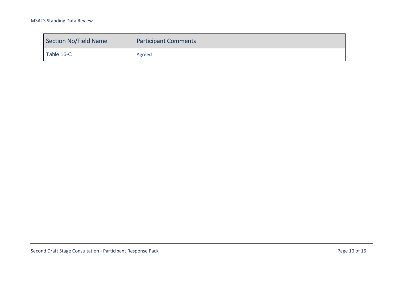| <b>Section No/Field Name</b> | <b>Participant Comments</b> |
|------------------------------|-----------------------------|
| Table 16-C                   | Agreed                      |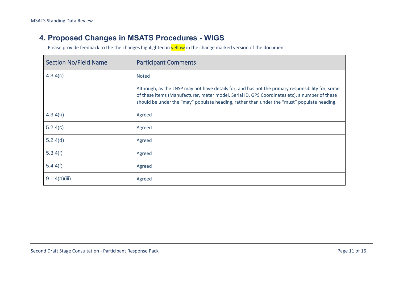#### **4. Proposed Changes in MSATS Procedures - WIGS**

<span id="page-10-0"></span>

| <b>Section No/Field Name</b> | <b>Participant Comments</b>                                                                                                                                                                                                                                                                     |
|------------------------------|-------------------------------------------------------------------------------------------------------------------------------------------------------------------------------------------------------------------------------------------------------------------------------------------------|
| 4.3.4(c)                     | <b>Noted</b>                                                                                                                                                                                                                                                                                    |
|                              | Although, as the LNSP may not have details for, and has not the primary responsibility for, some<br>of these items (Manufacturer, meter model, Serial ID, GPS Coordinates etc), a number of these<br>should be under the "may" populate heading, rather than under the "must" populate heading. |
| 4.3.4(h)                     | Agreed                                                                                                                                                                                                                                                                                          |
| 5.2.4(c)                     | Agreed                                                                                                                                                                                                                                                                                          |
| 5.2.4(d)                     | Agreed                                                                                                                                                                                                                                                                                          |
| 5.3.4(f)                     | Agreed                                                                                                                                                                                                                                                                                          |
| 5.4.4(f)                     | Agreed                                                                                                                                                                                                                                                                                          |
| 9.1.4(b)(iii)                | Agreed                                                                                                                                                                                                                                                                                          |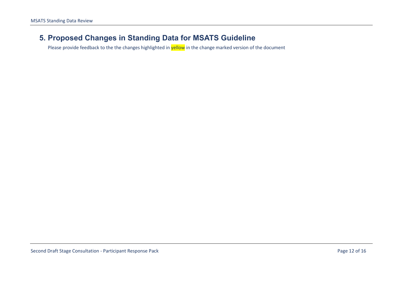#### <span id="page-11-0"></span>**5. Proposed Changes in Standing Data for MSATS Guideline**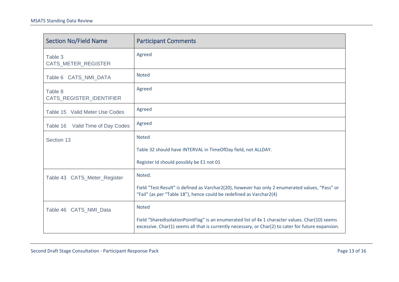| <b>Section No/Field Name</b>        | <b>Participant Comments</b>                                                                                                                                                                            |
|-------------------------------------|--------------------------------------------------------------------------------------------------------------------------------------------------------------------------------------------------------|
| Table 3<br>CATS_METER_REGISTER      | Agreed                                                                                                                                                                                                 |
| Table 6 CATS_NMI_DATA               | <b>Noted</b>                                                                                                                                                                                           |
| Table 8<br>CATS_REGISTER_IDENTIFIER | Agreed                                                                                                                                                                                                 |
| Table 15 Valid Meter Use Codes      | Agreed                                                                                                                                                                                                 |
| Valid Time of Day Codes<br>Table 16 | Agreed                                                                                                                                                                                                 |
| Section 13                          | <b>Noted</b>                                                                                                                                                                                           |
|                                     | Table 32 should have INTERVAL in TimeOfDay field, not ALLDAY.                                                                                                                                          |
|                                     | Register Id should possibly be E1 not 01                                                                                                                                                               |
| Table 43 CATS_Meter_Register        | Noted.                                                                                                                                                                                                 |
|                                     | Field "Test Result" is defined as Varchar2(20), however has only 2 enumerated values, "Pass" or<br>"Fail" (as per "Table 18"), hence could be redefined as Varchar2(4)                                 |
| Table 46 CATS_NMI_Data              | <b>Noted</b>                                                                                                                                                                                           |
|                                     | Field "SharedIsolationPointFlag" is an enumerated list of 4x 1 character values. Char(10) seems<br>excessive. Char(1) seems all that is currently necessary, or Char(2) to cater for future expansion. |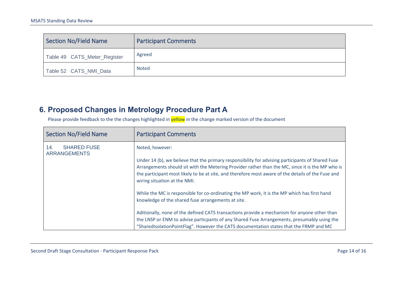| <b>Section No/Field Name</b> | <b>Participant Comments</b> |
|------------------------------|-----------------------------|
| Table 49 CATS_Meter_Register | Agreed                      |
| Table 52 CATS_NMI_Data       | Noted                       |

### **6. Proposed Changes in Metrology Procedure Part A**

<span id="page-13-0"></span>

| <b>Section No/Field Name</b>                     | <b>Participant Comments</b>                                                                                                                                                                                                                                                                                                                                    |
|--------------------------------------------------|----------------------------------------------------------------------------------------------------------------------------------------------------------------------------------------------------------------------------------------------------------------------------------------------------------------------------------------------------------------|
| <b>SHARED FUSE</b><br>14.<br><b>ARRANGEMENTS</b> | Noted, however:<br>Under 14 (b), we believe that the primary responsibility for advising participants of Shared Fuse<br>Arrangements should sit with the Metering Provider rather than the MC, since it is the MP who is<br>the participant most likely to be at site, and therefore most aware of the details of the Fuse and<br>wiring situation at the NMI. |
|                                                  | While the MC is responsible for co-ordinating the MP work, it is the MP which has first hand<br>knowledge of the shared fuse arrangements at site.<br>Aditionally, none of the defined CATS transactions provide a mechanism for anyone other than                                                                                                             |
|                                                  | the LNSP or ENM to advise particpants of any Shared Fuse Arrangements, presumably using the<br>"SharedIsolationPointFlag". However the CATS documentation states that the FRMP and MC                                                                                                                                                                          |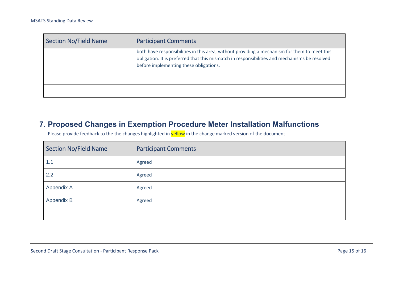| <b>Section No/Field Name</b> | <b>Participant Comments</b>                                                                                                                                                                                                             |
|------------------------------|-----------------------------------------------------------------------------------------------------------------------------------------------------------------------------------------------------------------------------------------|
|                              | both have responsibilities in this area, without providing a mechanism for them to meet this<br>obligation. It is preferred that this mismatch in responsibilities and mechanisms be resolved<br>before implementing these obligations. |
|                              |                                                                                                                                                                                                                                         |
|                              |                                                                                                                                                                                                                                         |

#### **7. Proposed Changes in Exemption Procedure Meter Installation Malfunctions**

<span id="page-14-0"></span>

| <b>Section No/Field Name</b> | <b>Participant Comments</b> |
|------------------------------|-----------------------------|
| 1.1                          | Agreed                      |
| 2.2                          | Agreed                      |
| Appendix A                   | Agreed                      |
| Appendix B                   | Agreed                      |
|                              |                             |